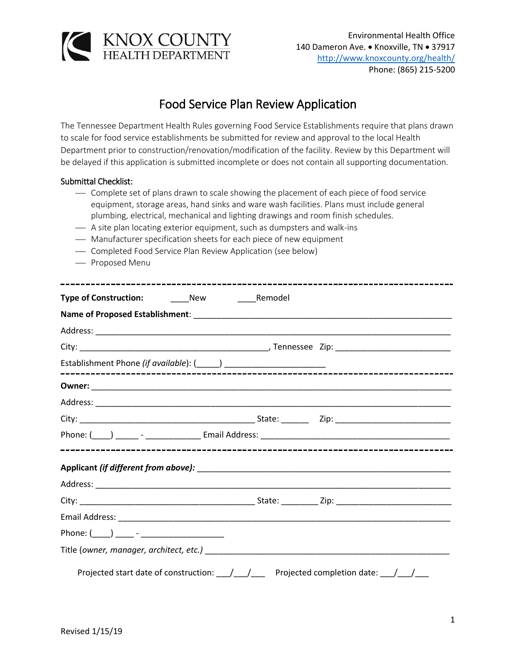

## Food Service Plan Review Application

The Tennessee Department Health Rules governing Food Service Establishments require that plans drawn to scale for food service establishments be submitted for review and approval to the local Health Department prior to construction/renovation/modification of the facility. Review by this Department will be delayed if this application is submitted incomplete or does not contain all supporting documentation.

## Submittal Checklist:

- ⎯ Complete set of plans drawn to scale showing the placement of each piece of food service equipment, storage areas, hand sinks and ware wash facilities. Plans must include general plumbing, electrical, mechanical and lighting drawings and room finish schedules.
- $-$  A site plan locating exterior equipment, such as dumpsters and walk-ins
- Manufacturer specification sheets for each piece of new equipment
- Completed Food Service Plan Review Application (see below)
- Proposed Menu

| Phone: $(\_\_)$ ____ - ___________________                                                                     |  |
|----------------------------------------------------------------------------------------------------------------|--|
|                                                                                                                |  |
| Projected start date of construction: \[mathbbs / \] \[mathbs / \] Projected completion date: \[mathbs / \] __ |  |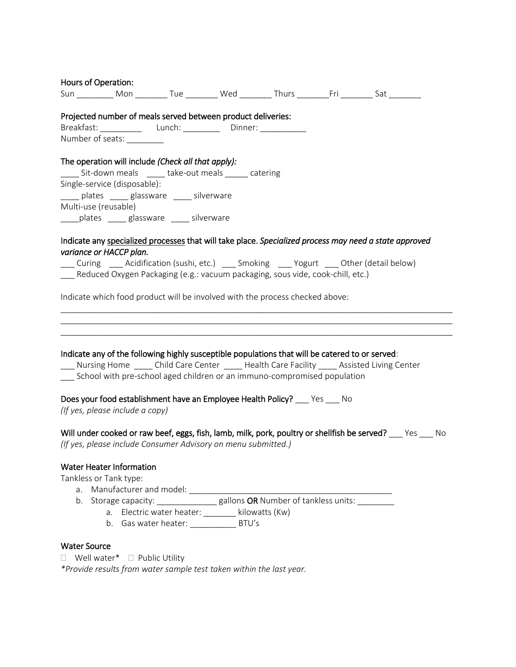| Hours of Operation:                                                                                                                                                                    |                                                  |  |                                                                                                             |
|----------------------------------------------------------------------------------------------------------------------------------------------------------------------------------------|--------------------------------------------------|--|-------------------------------------------------------------------------------------------------------------|
| Sun ___________ Mon __________ Tue _________ Wed _________ Thurs _________Fri _________ Sat ________                                                                                   |                                                  |  |                                                                                                             |
| Projected number of meals served between product deliveries:                                                                                                                           |                                                  |  |                                                                                                             |
|                                                                                                                                                                                        |                                                  |  |                                                                                                             |
| Number of seats: _________                                                                                                                                                             |                                                  |  |                                                                                                             |
| The operation will include (Check all that apply):                                                                                                                                     |                                                  |  |                                                                                                             |
| Sit-down meals ______ take-out meals ______ catering                                                                                                                                   |                                                  |  |                                                                                                             |
| Single-service (disposable):                                                                                                                                                           |                                                  |  |                                                                                                             |
| _____ plates _____ glassware _____ silverware                                                                                                                                          |                                                  |  |                                                                                                             |
| Multi-use (reusable)                                                                                                                                                                   |                                                  |  |                                                                                                             |
| _____plates ______ glassware _____ silverware                                                                                                                                          |                                                  |  |                                                                                                             |
| Indicate any specialized processes that will take place. Specialized process may need a state approved                                                                                 |                                                  |  |                                                                                                             |
| variance or HACCP plan.                                                                                                                                                                |                                                  |  |                                                                                                             |
| Curing _____ Acidification (sushi, etc.) _____ Smoking _____ Yogurt _____ Other (detail below)                                                                                         |                                                  |  |                                                                                                             |
| Reduced Oxygen Packaging (e.g.: vacuum packaging, sous vide, cook-chill, etc.)                                                                                                         |                                                  |  |                                                                                                             |
|                                                                                                                                                                                        |                                                  |  |                                                                                                             |
| Indicate which food product will be involved with the process checked above:                                                                                                           |                                                  |  |                                                                                                             |
|                                                                                                                                                                                        |                                                  |  |                                                                                                             |
|                                                                                                                                                                                        |                                                  |  |                                                                                                             |
|                                                                                                                                                                                        |                                                  |  |                                                                                                             |
|                                                                                                                                                                                        |                                                  |  |                                                                                                             |
| Indicate any of the following highly susceptible populations that will be catered to or served:<br>Nursing Home Child Care Center Capable Health Care Facility Cassisted Living Center |                                                  |  |                                                                                                             |
| __ School with pre-school aged children or an immuno-compromised population                                                                                                            |                                                  |  |                                                                                                             |
|                                                                                                                                                                                        |                                                  |  |                                                                                                             |
| Does your food establishment have an Employee Health Policy? ____ Yes ____ No                                                                                                          |                                                  |  |                                                                                                             |
| (If yes, please include a copy)                                                                                                                                                        |                                                  |  |                                                                                                             |
|                                                                                                                                                                                        |                                                  |  |                                                                                                             |
|                                                                                                                                                                                        |                                                  |  | Will under cooked or raw beef, eggs, fish, lamb, milk, pork, poultry or shellfish be served? ___ Yes ___ No |
| (If yes, please include Consumer Advisory on menu submitted.)                                                                                                                          |                                                  |  |                                                                                                             |
|                                                                                                                                                                                        |                                                  |  |                                                                                                             |
| <b>Water Heater Information</b>                                                                                                                                                        |                                                  |  |                                                                                                             |
| Tankless or Tank type:<br>a. Manufacturer and model: ________                                                                                                                          |                                                  |  |                                                                                                             |
| b. Storage capacity: ________________ gallons OR Number of tankless units: _________                                                                                                   |                                                  |  |                                                                                                             |
|                                                                                                                                                                                        | a. Electric water heater: _______ kilowatts (Kw) |  |                                                                                                             |
|                                                                                                                                                                                        | b. Gas water heater: _____________________ BTU's |  |                                                                                                             |
|                                                                                                                                                                                        |                                                  |  |                                                                                                             |
| <b>Water Source</b>                                                                                                                                                                    |                                                  |  |                                                                                                             |
| $\Box$ Well water* $\Box$ Public Utility                                                                                                                                               |                                                  |  |                                                                                                             |
| *Provide results from water sample test taken within the last year.                                                                                                                    |                                                  |  |                                                                                                             |
|                                                                                                                                                                                        |                                                  |  |                                                                                                             |